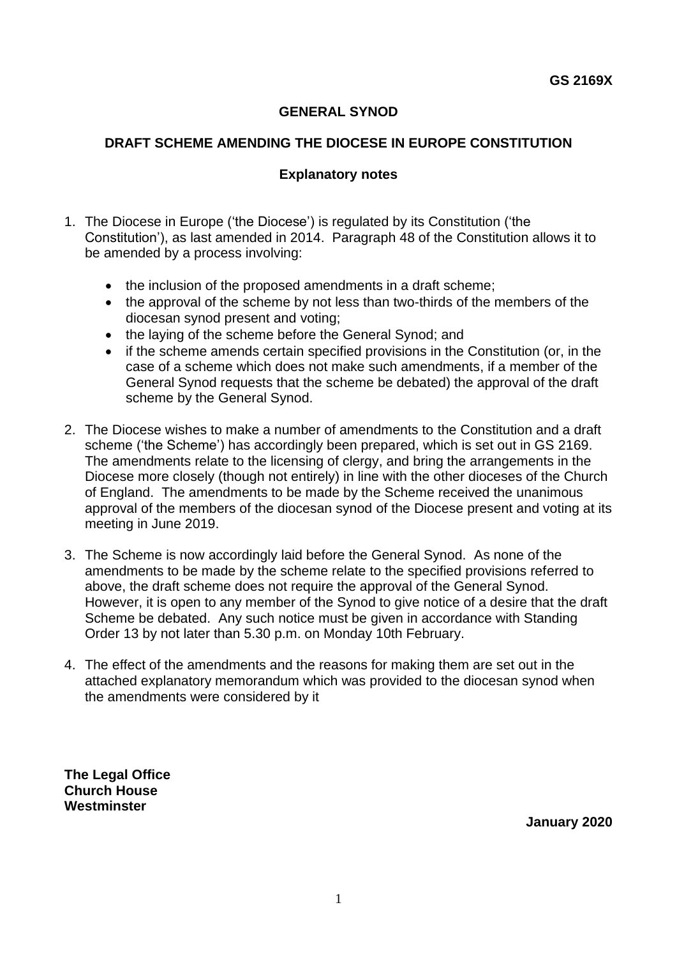# **GENERAL SYNOD**

# **DRAFT SCHEME AMENDING THE DIOCESE IN EUROPE CONSTITUTION**

# **Explanatory notes**

- 1. The Diocese in Europe ('the Diocese') is regulated by its Constitution ('the Constitution'), as last amended in 2014. Paragraph 48 of the Constitution allows it to be amended by a process involving:
	- the inclusion of the proposed amendments in a draft scheme;
	- the approval of the scheme by not less than two-thirds of the members of the diocesan synod present and voting;
	- the laying of the scheme before the General Synod; and
	- if the scheme amends certain specified provisions in the Constitution (or, in the case of a scheme which does not make such amendments, if a member of the General Synod requests that the scheme be debated) the approval of the draft scheme by the General Synod.
- 2. The Diocese wishes to make a number of amendments to the Constitution and a draft scheme ('the Scheme') has accordingly been prepared, which is set out in GS 2169. The amendments relate to the licensing of clergy, and bring the arrangements in the Diocese more closely (though not entirely) in line with the other dioceses of the Church of England. The amendments to be made by the Scheme received the unanimous approval of the members of the diocesan synod of the Diocese present and voting at its meeting in June 2019.
- 3. The Scheme is now accordingly laid before the General Synod. As none of the amendments to be made by the scheme relate to the specified provisions referred to above, the draft scheme does not require the approval of the General Synod. However, it is open to any member of the Synod to give notice of a desire that the draft Scheme be debated. Any such notice must be given in accordance with Standing Order 13 by not later than 5.30 p.m. on Monday 10th February.
- 4. The effect of the amendments and the reasons for making them are set out in the attached explanatory memorandum which was provided to the diocesan synod when the amendments were considered by it

**The Legal Office Church House Westminster**

**January 2020**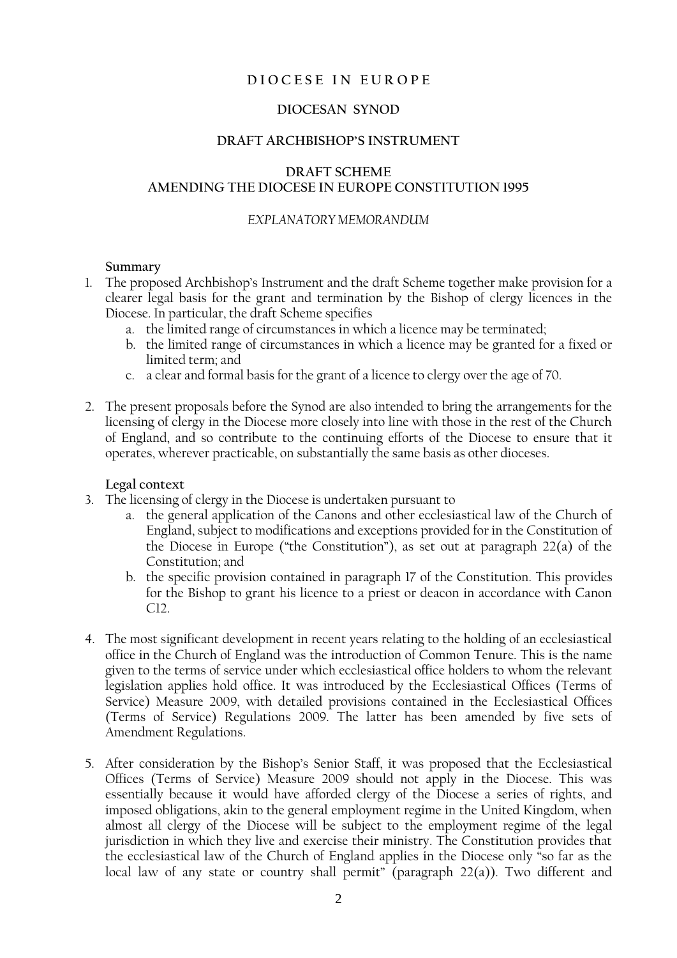### **D I O C E S E I N E U R O P E**

### **DIOCESAN SYNOD**

#### **DRAFT ARCHBISHOP'S INSTRUMENT**

### **DRAFT SCHEME AMENDING THE DIOCESE IN EUROPE CONSTITUTION 1995**

### *EXPLANATORY MEMORANDUM*

#### **Summary**

- 1. The proposed Archbishop's Instrument and the draft Scheme together make provision for a clearer legal basis for the grant and termination by the Bishop of clergy licences in the Diocese. In particular, the draft Scheme specifies
	- a. the limited range of circumstances in which a licence may be terminated;
	- b. the limited range of circumstances in which a licence may be granted for a fixed or limited term; and
	- c. a clear and formal basis for the grant of a licence to clergy over the age of 70.
- 2. The present proposals before the Synod are also intended to bring the arrangements for the licensing of clergy in the Diocese more closely into line with those in the rest of the Church of England, and so contribute to the continuing efforts of the Diocese to ensure that it operates, wherever practicable, on substantially the same basis as other dioceses.

#### **Legal context**

- 3. The licensing of clergy in the Diocese is undertaken pursuant to
	- a. the general application of the Canons and other ecclesiastical law of the Church of England, subject to modifications and exceptions provided for in the Constitution of the Diocese in Europe ("the Constitution"), as set out at paragraph 22(a) of the Constitution; and
	- b. the specific provision contained in paragraph 17 of the Constitution. This provides for the Bishop to grant his licence to a priest or deacon in accordance with Canon C12.
- 4. The most significant development in recent years relating to the holding of an ecclesiastical office in the Church of England was the introduction of Common Tenure. This is the name given to the terms of service under which ecclesiastical office holders to whom the relevant legislation applies hold office. It was introduced by the Ecclesiastical Offices (Terms of Service) Measure 2009, with detailed provisions contained in the Ecclesiastical Offices (Terms of Service) Regulations 2009. The latter has been amended by five sets of Amendment Regulations.
- 5. After consideration by the Bishop's Senior Staff, it was proposed that the Ecclesiastical Offices (Terms of Service) Measure 2009 should not apply in the Diocese. This was essentially because it would have afforded clergy of the Diocese a series of rights, and imposed obligations, akin to the general employment regime in the United Kingdom, when almost all clergy of the Diocese will be subject to the employment regime of the legal jurisdiction in which they live and exercise their ministry. The Constitution provides that the ecclesiastical law of the Church of England applies in the Diocese only "so far as the local law of any state or country shall permit" (paragraph 22(a)). Two different and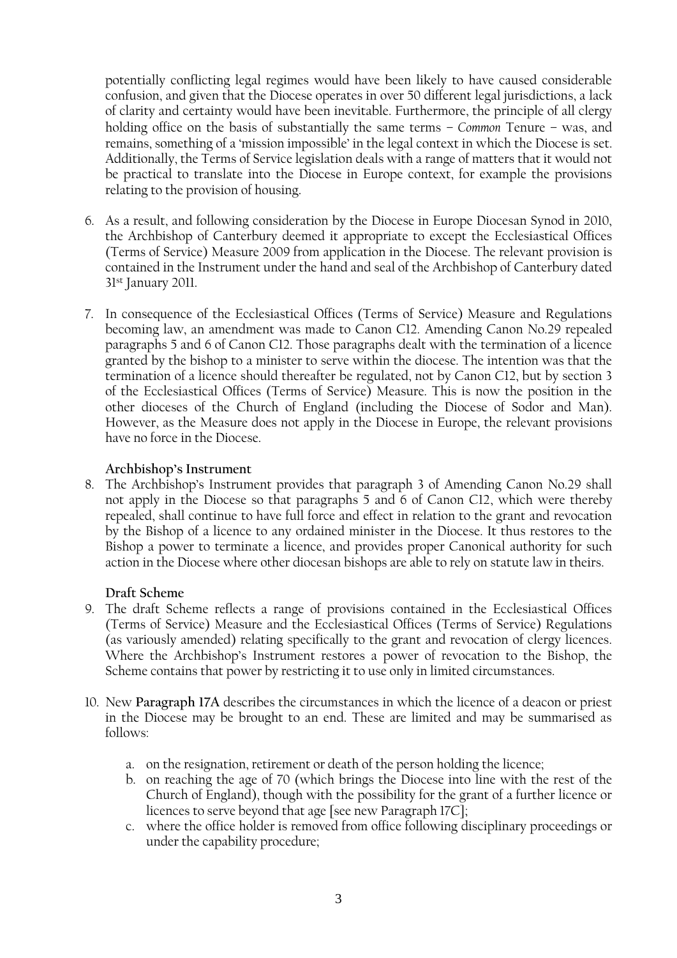potentially conflicting legal regimes would have been likely to have caused considerable confusion, and given that the Diocese operates in over 50 different legal jurisdictions, a lack of clarity and certainty would have been inevitable. Furthermore, the principle of all clergy holding office on the basis of substantially the same terms – *Common* Tenure – was, and remains, something of a 'mission impossible' in the legal context in which the Diocese is set. Additionally, the Terms of Service legislation deals with a range of matters that it would not be practical to translate into the Diocese in Europe context, for example the provisions relating to the provision of housing.

- 6. As a result, and following consideration by the Diocese in Europe Diocesan Synod in 2010, the Archbishop of Canterbury deemed it appropriate to except the Ecclesiastical Offices (Terms of Service) Measure 2009 from application in the Diocese. The relevant provision is contained in the Instrument under the hand and seal of the Archbishop of Canterbury dated 31st January 2011.
- 7. In consequence of the Ecclesiastical Offices (Terms of Service) Measure and Regulations becoming law, an amendment was made to Canon C12. Amending Canon No.29 repealed paragraphs 5 and 6 of Canon C12. Those paragraphs dealt with the termination of a licence granted by the bishop to a minister to serve within the diocese. The intention was that the termination of a licence should thereafter be regulated, not by Canon C12, but by section 3 of the Ecclesiastical Offices (Terms of Service) Measure. This is now the position in the other dioceses of the Church of England (including the Diocese of Sodor and Man). However, as the Measure does not apply in the Diocese in Europe, the relevant provisions have no force in the Diocese.

## **Archbishop's Instrument**

8. The Archbishop's Instrument provides that paragraph 3 of Amending Canon No.29 shall not apply in the Diocese so that paragraphs 5 and 6 of Canon C12, which were thereby repealed, shall continue to have full force and effect in relation to the grant and revocation by the Bishop of a licence to any ordained minister in the Diocese. It thus restores to the Bishop a power to terminate a licence, and provides proper Canonical authority for such action in the Diocese where other diocesan bishops are able to rely on statute law in theirs.

### **Draft Scheme**

- 9. The draft Scheme reflects a range of provisions contained in the Ecclesiastical Offices (Terms of Service) Measure and the Ecclesiastical Offices (Terms of Service) Regulations (as variously amended) relating specifically to the grant and revocation of clergy licences. Where the Archbishop's Instrument restores a power of revocation to the Bishop, the Scheme contains that power by restricting it to use only in limited circumstances.
- 10. New **Paragraph 17A** describes the circumstances in which the licence of a deacon or priest in the Diocese may be brought to an end. These are limited and may be summarised as follows:
	- a. on the resignation, retirement or death of the person holding the licence;
	- b. on reaching the age of 70 (which brings the Diocese into line with the rest of the Church of England), though with the possibility for the grant of a further licence or licences to serve beyond that age [see new Paragraph 17C];
	- c. where the office holder is removed from office following disciplinary proceedings or under the capability procedure;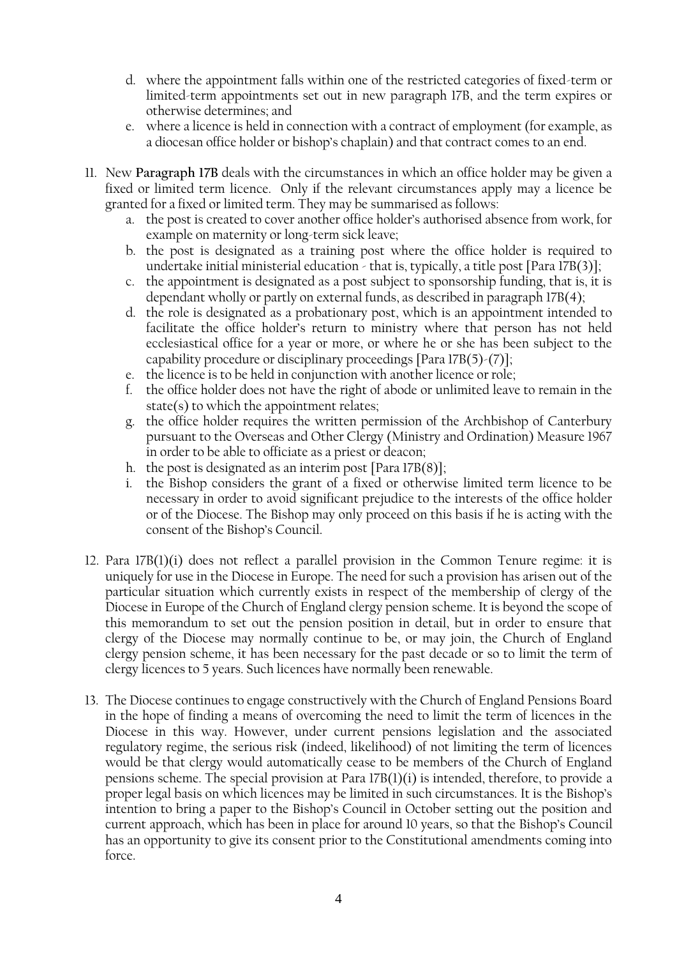- d. where the appointment falls within one of the restricted categories of fixed-term or limited-term appointments set out in new paragraph 17B, and the term expires or otherwise determines; and
- e. where a licence is held in connection with a contract of employment (for example, as a diocesan office holder or bishop's chaplain) and that contract comes to an end.
- 11. New **Paragraph 17B** deals with the circumstances in which an office holder may be given a fixed or limited term licence. Only if the relevant circumstances apply may a licence be granted for a fixed or limited term. They may be summarised as follows:
	- a. the post is created to cover another office holder's authorised absence from work, for example on maternity or long-term sick leave;
	- b. the post is designated as a training post where the office holder is required to undertake initial ministerial education - that is, typically, a title post [Para 17B(3)];
	- c. the appointment is designated as a post subject to sponsorship funding, that is, it is dependant wholly or partly on external funds, as described in paragraph 17B(4);
	- d. the role is designated as a probationary post, which is an appointment intended to facilitate the office holder's return to ministry where that person has not held ecclesiastical office for a year or more, or where he or she has been subject to the capability procedure or disciplinary proceedings [Para 17B(5)-(7)];
	- e. the licence is to be held in conjunction with another licence or role;
	- f. the office holder does not have the right of abode or unlimited leave to remain in the state(s) to which the appointment relates;
	- g. the office holder requires the written permission of the Archbishop of Canterbury pursuant to the Overseas and Other Clergy (Ministry and Ordination) Measure 1967 in order to be able to officiate as a priest or deacon;
	- h. the post is designated as an interim post [Para 17B(8)];
	- i. the Bishop considers the grant of a fixed or otherwise limited term licence to be necessary in order to avoid significant prejudice to the interests of the office holder or of the Diocese. The Bishop may only proceed on this basis if he is acting with the consent of the Bishop's Council.
- 12. Para 17B(1)(i) does not reflect a parallel provision in the Common Tenure regime: it is uniquely for use in the Diocese in Europe. The need for such a provision has arisen out of the particular situation which currently exists in respect of the membership of clergy of the Diocese in Europe of the Church of England clergy pension scheme. It is beyond the scope of this memorandum to set out the pension position in detail, but in order to ensure that clergy of the Diocese may normally continue to be, or may join, the Church of England clergy pension scheme, it has been necessary for the past decade or so to limit the term of clergy licences to 5 years. Such licences have normally been renewable.
- 13. The Diocese continues to engage constructively with the Church of England Pensions Board in the hope of finding a means of overcoming the need to limit the term of licences in the Diocese in this way. However, under current pensions legislation and the associated regulatory regime, the serious risk (indeed, likelihood) of not limiting the term of licences would be that clergy would automatically cease to be members of the Church of England pensions scheme. The special provision at Para  $17B(1)(i)$  is intended, therefore, to provide a proper legal basis on which licences may be limited in such circumstances. It is the Bishop's intention to bring a paper to the Bishop's Council in October setting out the position and current approach, which has been in place for around 10 years, so that the Bishop's Council has an opportunity to give its consent prior to the Constitutional amendments coming into force.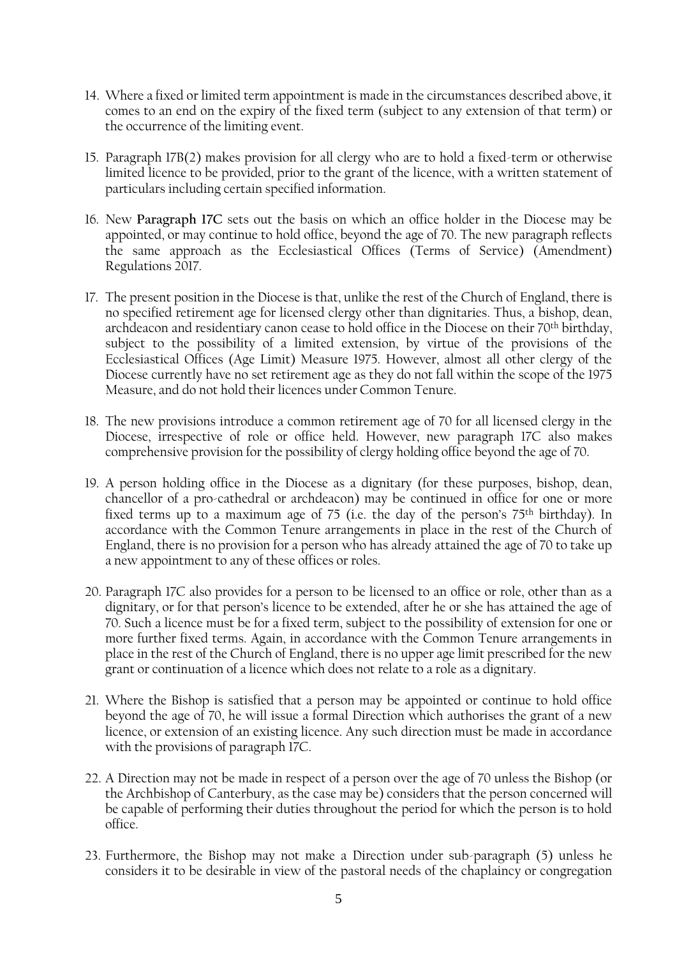- 14. Where a fixed or limited term appointment is made in the circumstances described above, it comes to an end on the expiry of the fixed term (subject to any extension of that term) or the occurrence of the limiting event.
- 15. Paragraph 17B(2) makes provision for all clergy who are to hold a fixed-term or otherwise limited licence to be provided, prior to the grant of the licence, with a written statement of particulars including certain specified information.
- 16. New **Paragraph 17C** sets out the basis on which an office holder in the Diocese may be appointed, or may continue to hold office, beyond the age of 70. The new paragraph reflects the same approach as the Ecclesiastical Offices (Terms of Service) (Amendment) Regulations 2017.
- 17. The present position in the Diocese is that, unlike the rest of the Church of England, there is no specified retirement age for licensed clergy other than dignitaries. Thus, a bishop, dean, archdeacon and residentiary canon cease to hold office in the Diocese on their 70<sup>th</sup> birthday, subject to the possibility of a limited extension, by virtue of the provisions of the Ecclesiastical Offices (Age Limit) Measure 1975. However, almost all other clergy of the Diocese currently have no set retirement age as they do not fall within the scope of the 1975 Measure, and do not hold their licences under Common Tenure.
- 18. The new provisions introduce a common retirement age of 70 for all licensed clergy in the Diocese, irrespective of role or office held. However, new paragraph 17C also makes comprehensive provision for the possibility of clergy holding office beyond the age of 70.
- 19. A person holding office in the Diocese as a dignitary (for these purposes, bishop, dean, chancellor of a pro-cathedral or archdeacon) may be continued in office for one or more fixed terms up to a maximum age of 75 (i.e. the day of the person's 75th birthday). In accordance with the Common Tenure arrangements in place in the rest of the Church of England, there is no provision for a person who has already attained the age of 70 to take up a new appointment to any of these offices or roles.
- 20. Paragraph 17C also provides for a person to be licensed to an office or role, other than as a dignitary, or for that person's licence to be extended, after he or she has attained the age of 70. Such a licence must be for a fixed term, subject to the possibility of extension for one or more further fixed terms. Again, in accordance with the Common Tenure arrangements in place in the rest of the Church of England, there is no upper age limit prescribed for the new grant or continuation of a licence which does not relate to a role as a dignitary.
- 21. Where the Bishop is satisfied that a person may be appointed or continue to hold office beyond the age of 70, he will issue a formal Direction which authorises the grant of a new licence, or extension of an existing licence. Any such direction must be made in accordance with the provisions of paragraph 17C.
- 22. A Direction may not be made in respect of a person over the age of 70 unless the Bishop (or the Archbishop of Canterbury, as the case may be) considers that the person concerned will be capable of performing their duties throughout the period for which the person is to hold office.
- 23. Furthermore, the Bishop may not make a Direction under sub-paragraph (5) unless he considers it to be desirable in view of the pastoral needs of the chaplaincy or congregation